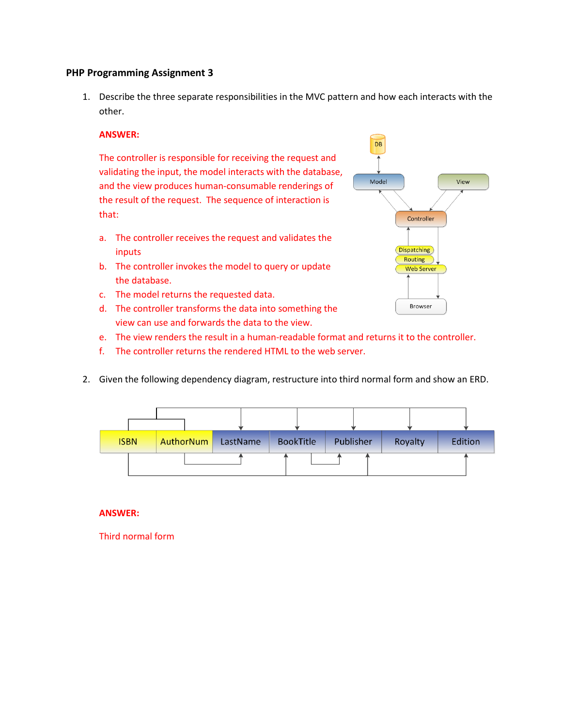## **PHP Programming Assignment 3**

1. Describe the three separate responsibilities in the MVC pattern and how each interacts with the other.

## **ANSWER:**

The controller is responsible for receiving the request and validating the input, the model interacts with the database, and the view produces human-consumable renderings of the result of the request. The sequence of interaction is that:

- a. The controller receives the request and validates the inputs
- b. The controller invokes the model to query or update the database.
- c. The model returns the requested data.
- d. The controller transforms the data into something the view can use and forwards the data to the view.
- e. The view renders the result in a human-readable format and returns it to the controller.
- f. The controller returns the rendered HTML to the web server.
- 2. Given the following dependency diagram, restructure into third normal form and show an ERD.



## **ANSWER:**

Third normal form

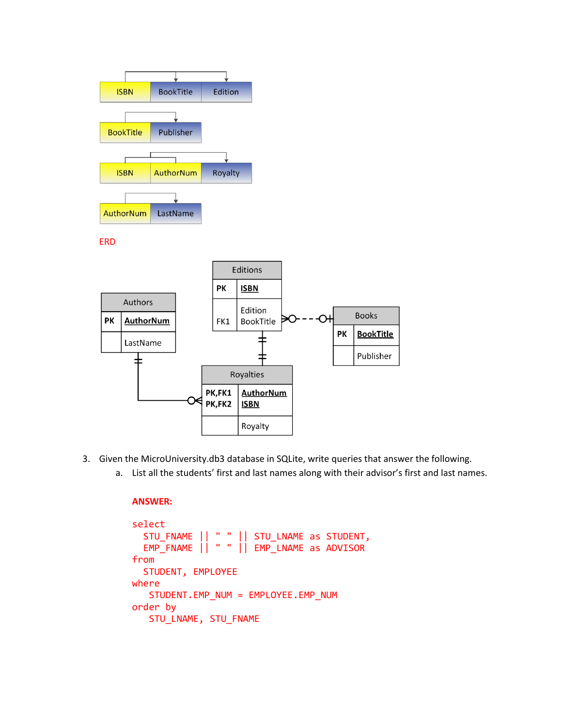

- 3. Given the MicroUniversity.db3 database in SQLite, write queries that answer the following.
	- a. List all the students' first and last names along with their advisor's first and last names.

## **ANSWER:**

```
select
 STU_FNAME || " " || STU_LNAME as STUDENT,
 EMP_FNAME || " " || EMP_LNAME as ADVISOR
from
   STUDENT, EMPLOYEE
where
    STUDENT.EMP_NUM = EMPLOYEE.EMP_NUM
order by
    STU_LNAME, STU_FNAME
```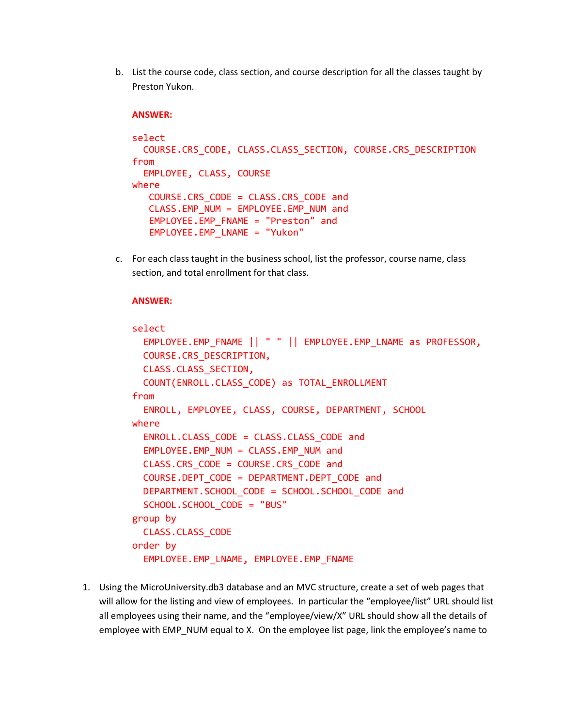b. List the course code, class section, and course description for all the classes taught by Preston Yukon.

#### **ANSWER:**

```
select
   COURSE.CRS_CODE, CLASS.CLASS_SECTION, COURSE.CRS_DESCRIPTION
from
   EMPLOYEE, CLASS, COURSE
where
    COURSE.CRS_CODE = CLASS.CRS_CODE and
    CLASS.EMP_NUM = EMPLOYEE.EMP_NUM and
    EMPLOYEE.EMP_FNAME = "Preston" and
    EMPLOYEE.EMP_LNAME = "Yukon"
```
c. For each class taught in the business school, list the professor, course name, class section, and total enrollment for that class.

### **ANSWER:**

```
select
   EMPLOYEE.EMP_FNAME || " " || EMPLOYEE.EMP_LNAME as PROFESSOR,
   COURSE.CRS_DESCRIPTION,
   CLASS.CLASS_SECTION,
   COUNT(ENROLL.CLASS_CODE) as TOTAL_ENROLLMENT
from
   ENROLL, EMPLOYEE, CLASS, COURSE, DEPARTMENT, SCHOOL
where
   ENROLL.CLASS_CODE = CLASS.CLASS_CODE and
   EMPLOYEE.EMP_NUM = CLASS.EMP_NUM and
   CLASS.CRS_CODE = COURSE.CRS_CODE and
   COURSE.DEPT_CODE = DEPARTMENT.DEPT_CODE and
  DEPARTMENT.SCHOOL CODE = SCHOOL.SCHOOL CODE and
   SCHOOL.SCHOOL_CODE = "BUS"
group by
   CLASS.CLASS_CODE
order by
   EMPLOYEE.EMP_LNAME, EMPLOYEE.EMP_FNAME
```
1. Using the MicroUniversity.db3 database and an MVC structure, create a set of web pages that will allow for the listing and view of employees. In particular the "employee/list" URL should list all employees using their name, and the "employee/view/X" URL should show all the details of employee with EMP\_NUM equal to X. On the employee list page, link the employee's name to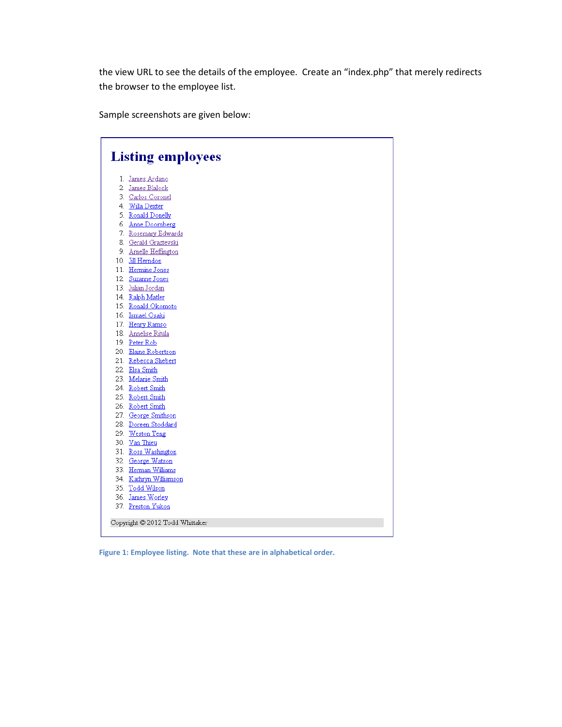the view URL to see the details of the employee. Create an "index.php" that merely redirects the browser to the employee list.

Sample screenshots are given below:

| <b>Listing employees</b>        |                                          |
|---------------------------------|------------------------------------------|
|                                 | 1. James Ardano                          |
|                                 | 2. James Blalock                         |
|                                 | 3. Carlos Coronel                        |
|                                 | 4. Willa Dexter                          |
|                                 | 5. Ronald Donelly                        |
|                                 | 6. Anne Doornberg                        |
|                                 | 7. Rosemary Edwards                      |
|                                 | 8. Gerald Graztevski                     |
|                                 | 9. Arnelle Heffington                    |
|                                 | 10. Jill Herndon                         |
|                                 | 11. Hermine Jones                        |
|                                 | 12. Suzanne Jones                        |
|                                 | 13. Julian Jordan                        |
|                                 | 14. Ralph Matler                         |
|                                 | 15. Ronald Okomoto                       |
|                                 | 16. Ismael Osaki                         |
|                                 | 17. Henry Ramso                          |
|                                 | 18. Annelise Ritula                      |
|                                 | 19. Peter Rob                            |
|                                 | 20. Elaine Robertson                     |
|                                 | 21. Rebecca Shebert                      |
|                                 | 22. Elsa Smith                           |
|                                 | 23. Melanie Smith                        |
|                                 | 24. Robert Smith                         |
|                                 | 25. Robert Smith                         |
|                                 | 26. Robert Smith                         |
|                                 | 27. George Smithson                      |
|                                 | 28. Doreen Stoddard                      |
|                                 | 29. Weston Teng                          |
|                                 | 30. Van Thieu                            |
|                                 | 31. Ross Washington<br>32. George Watson |
|                                 | 33. Herman Williams                      |
|                                 | 34. Kathryn Williamson                   |
|                                 | 35. Todd Wilson                          |
|                                 | 36. James Worley                         |
|                                 | 37. Preston Yukon                        |
| Copyright © 2012 Todd Whittaker |                                          |

**Figure 1: Employee listing. Note that these are in alphabetical order.**